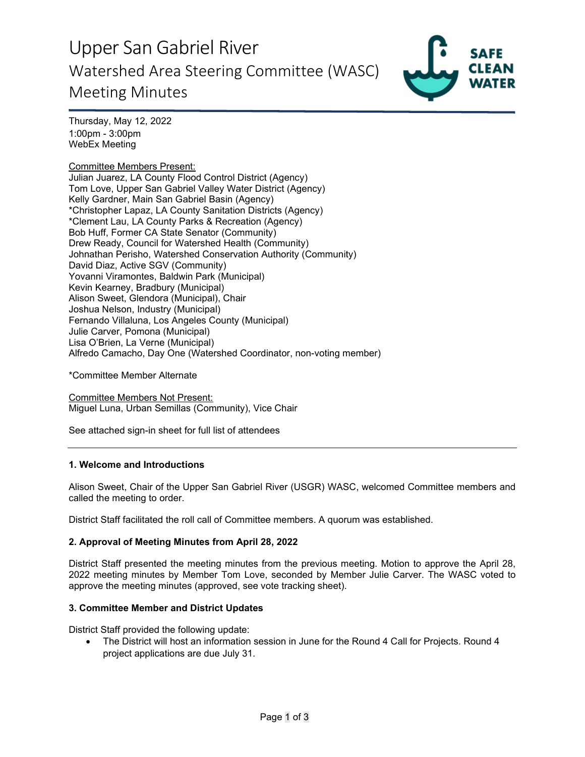# Upper San Gabriel River Watershed Area Steering Committee (WASC) Meeting Minutes



Thursday, May 12, 2022 1:00pm - 3:00pm WebEx Meeting

# Committee Members Present:

Julian Juarez, LA County Flood Control District (Agency) Tom Love, Upper San Gabriel Valley Water District (Agency) Kelly Gardner, Main San Gabriel Basin (Agency) \*Christopher Lapaz, LA County Sanitation Districts (Agency) \*Clement Lau, LA County Parks & Recreation (Agency) Bob Huff, Former CA State Senator (Community) Drew Ready, Council for Watershed Health (Community) Johnathan Perisho, Watershed Conservation Authority (Community) David Diaz, Active SGV (Community) Yovanni Viramontes, Baldwin Park (Municipal) Kevin Kearney, Bradbury (Municipal) Alison Sweet, Glendora (Municipal), Chair Joshua Nelson, Industry (Municipal) Fernando Villaluna, Los Angeles County (Municipal) Julie Carver, Pomona (Municipal) Lisa O'Brien, La Verne (Municipal) Alfredo Camacho, Day One (Watershed Coordinator, non-voting member)

\*Committee Member Alternate

Committee Members Not Present: Miguel Luna, Urban Semillas (Community), Vice Chair

See attached sign-in sheet for full list of attendees

### **1. Welcome and Introductions**

Alison Sweet, Chair of the Upper San Gabriel River (USGR) WASC, welcomed Committee members and called the meeting to order.

District Staff facilitated the roll call of Committee members. A quorum was established.

### **2. Approval of Meeting Minutes from April 28, 2022**

District Staff presented the meeting minutes from the previous meeting. Motion to approve the April 28, 2022 meeting minutes by Member Tom Love, seconded by Member Julie Carver. The WASC voted to approve the meeting minutes (approved, see vote tracking sheet).

### **3. Committee Member and District Updates**

District Staff provided the following update:

• The District will host an information session in June for the Round 4 Call for Projects. Round 4 project applications are due July 31.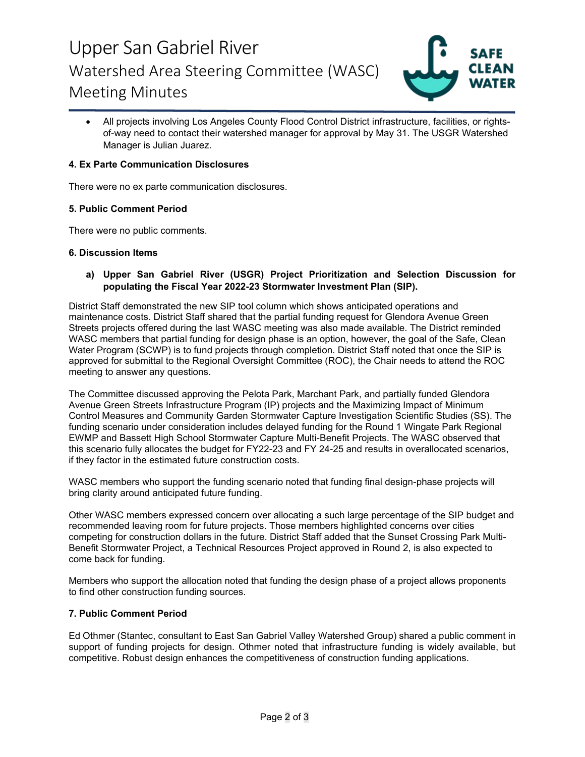# Upper San Gabriel River Watershed Area Steering Committee (WASC) Meeting Minutes



• All projects involving Los Angeles County Flood Control District infrastructure, facilities, or rightsof-way need to contact their watershed manager for approval by May 31. The USGR Watershed Manager is Julian Juarez.

# **4. Ex Parte Communication Disclosures**

There were no ex parte communication disclosures.

## **5. Public Comment Period**

There were no public comments.

### **6. Discussion Items**

## **a) Upper San Gabriel River (USGR) Project Prioritization and Selection Discussion for populating the Fiscal Year 2022-23 Stormwater Investment Plan (SIP).**

District Staff demonstrated the new SIP tool column which shows anticipated operations and maintenance costs. District Staff shared that the partial funding request for Glendora Avenue Green Streets projects offered during the last WASC meeting was also made available. The District reminded WASC members that partial funding for design phase is an option, however, the goal of the Safe, Clean Water Program (SCWP) is to fund projects through completion. District Staff noted that once the SIP is approved for submittal to the Regional Oversight Committee (ROC), the Chair needs to attend the ROC meeting to answer any questions.

The Committee discussed approving the Pelota Park, Marchant Park, and partially funded Glendora Avenue Green Streets Infrastructure Program (IP) projects and the Maximizing Impact of Minimum Control Measures and Community Garden Stormwater Capture Investigation Scientific Studies (SS). The funding scenario under consideration includes delayed funding for the Round 1 Wingate Park Regional EWMP and Bassett High School Stormwater Capture Multi-Benefit Projects. The WASC observed that this scenario fully allocates the budget for FY22-23 and FY 24-25 and results in overallocated scenarios, if they factor in the estimated future construction costs.

WASC members who support the funding scenario noted that funding final design-phase projects will bring clarity around anticipated future funding.

Other WASC members expressed concern over allocating a such large percentage of the SIP budget and recommended leaving room for future projects. Those members highlighted concerns over cities competing for construction dollars in the future. District Staff added that the Sunset Crossing Park Multi-Benefit Stormwater Project, a Technical Resources Project approved in Round 2, is also expected to come back for funding.

Members who support the allocation noted that funding the design phase of a project allows proponents to find other construction funding sources.

# **7. Public Comment Period**

Ed Othmer (Stantec, consultant to East San Gabriel Valley Watershed Group) shared a public comment in support of funding projects for design. Othmer noted that infrastructure funding is widely available, but competitive. Robust design enhances the competitiveness of construction funding applications.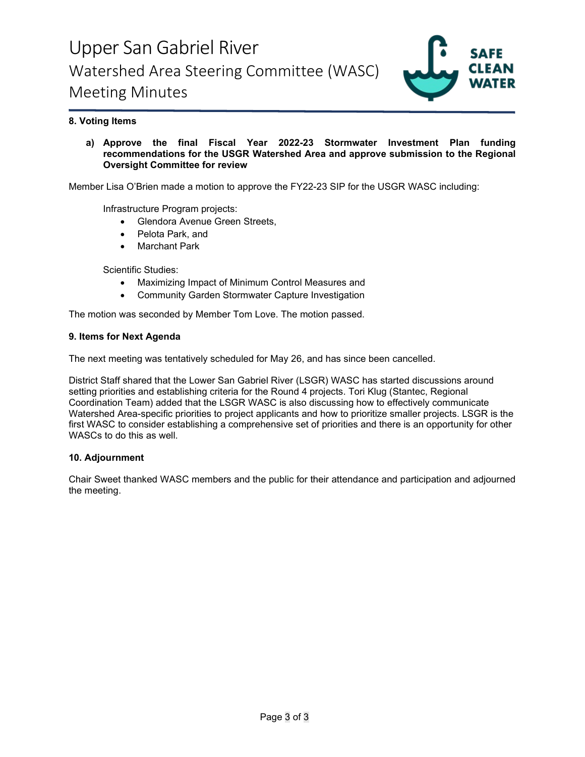

# **8. Voting Items**

**a) Approve the final Fiscal Year 2022-23 Stormwater Investment Plan funding recommendations for the USGR Watershed Area and approve submission to the Regional Oversight Committee for review**

Member Lisa O'Brien made a motion to approve the FY22-23 SIP for the USGR WASC including:

Infrastructure Program projects:

- Glendora Avenue Green Streets,
- Pelota Park, and
- Marchant Park

Scientific Studies:

- Maximizing Impact of Minimum Control Measures and
- Community Garden Stormwater Capture Investigation

The motion was seconded by Member Tom Love. The motion passed.

## **9. Items for Next Agenda**

The next meeting was tentatively scheduled for May 26, and has since been cancelled.

District Staff shared that the Lower San Gabriel River (LSGR) WASC has started discussions around setting priorities and establishing criteria for the Round 4 projects. Tori Klug (Stantec, Regional Coordination Team) added that the LSGR WASC is also discussing how to effectively communicate Watershed Area-specific priorities to project applicants and how to prioritize smaller projects. LSGR is the first WASC to consider establishing a comprehensive set of priorities and there is an opportunity for other WASCs to do this as well.

### **10. Adjournment**

Chair Sweet thanked WASC members and the public for their attendance and participation and adjourned the meeting.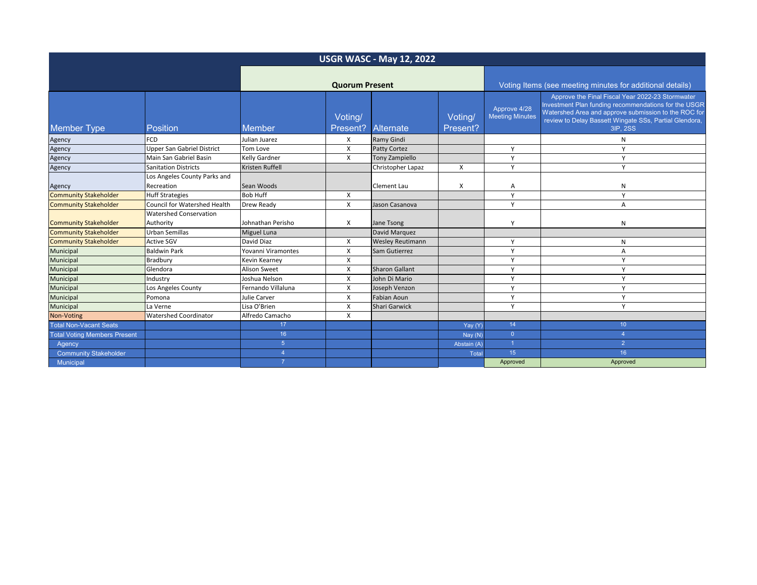| <b>USGR WASC - May 12, 2022</b>     |                                            |                       |                     |                         |                                                           |                                        |                                                                                                                                                                                                                                        |  |
|-------------------------------------|--------------------------------------------|-----------------------|---------------------|-------------------------|-----------------------------------------------------------|----------------------------------------|----------------------------------------------------------------------------------------------------------------------------------------------------------------------------------------------------------------------------------------|--|
|                                     |                                            | <b>Quorum Present</b> |                     |                         | Voting Items (see meeting minutes for additional details) |                                        |                                                                                                                                                                                                                                        |  |
| <b>Member Type</b>                  | <b>Position</b>                            | <b>Member</b>         | Voting/<br>Present? | Alternate               | Voting/<br>Present?                                       | Approve 4/28<br><b>Meeting Minutes</b> | Approve the Final Fiscal Year 2022-23 Stormwater<br>Investment Plan funding recommendations for the USGR<br>Watershed Area and approve submission to the ROC for<br>review to Delay Bassett Wingate SSs, Partial Glendora,<br>3IP, 2SS |  |
| Agency                              | <b>FCD</b>                                 | Julian Juarez         | X                   | Ramy Gindi              |                                                           |                                        | N                                                                                                                                                                                                                                      |  |
| Agency                              | <b>Upper San Gabriel District</b>          | Tom Love              | X                   | Patty Cortez            |                                                           | Y                                      |                                                                                                                                                                                                                                        |  |
| Agency                              | Main San Gabriel Basin                     | <b>Kelly Gardner</b>  | X                   | Tony Zampiello          |                                                           | Y                                      | Υ                                                                                                                                                                                                                                      |  |
| Agency                              | <b>Sanitation Districts</b>                | Kristen Ruffell       |                     | Christopher Lapaz       | X                                                         | Y                                      | Y                                                                                                                                                                                                                                      |  |
| Agency                              | Los Angeles County Parks and<br>Recreation | Sean Woods            |                     | Clement Lau             | X                                                         | Α                                      | N                                                                                                                                                                                                                                      |  |
| <b>Community Stakeholder</b>        | <b>Huff Strategies</b>                     | <b>Bob Huff</b>       | X                   |                         |                                                           | $\mathsf{Y}$                           | Y                                                                                                                                                                                                                                      |  |
| <b>Community Stakeholder</b>        | <b>Council for Watershed Health</b>        | <b>Drew Ready</b>     | X                   | Jason Casanova          |                                                           | $\mathsf{Y}$                           | Α                                                                                                                                                                                                                                      |  |
| <b>Community Stakeholder</b>        | <b>Watershed Conservation</b><br>Authority | Johnathan Perisho     | X                   | Jane Tsong              |                                                           | <b>V</b>                               | N                                                                                                                                                                                                                                      |  |
| <b>Community Stakeholder</b>        | <b>Urban Semillas</b>                      | <b>Miguel Luna</b>    |                     | David Marquez           |                                                           |                                        |                                                                                                                                                                                                                                        |  |
| <b>Community Stakeholder</b>        | <b>Active SGV</b>                          | David Diaz            | X                   | <b>Wesley Reutimann</b> |                                                           | $\mathsf{Y}$                           | N                                                                                                                                                                                                                                      |  |
| Municipal                           | <b>Baldwin Park</b>                        | Yovanni Viramontes    | X                   | Sam Gutierrez           |                                                           | $\mathsf{v}$                           | Α                                                                                                                                                                                                                                      |  |
| Municipal                           | Bradbury                                   | <b>Kevin Kearney</b>  | X                   |                         |                                                           | $\mathsf{Y}$                           | Y                                                                                                                                                                                                                                      |  |
| Municipal                           | Glendora                                   | <b>Alison Sweet</b>   | X                   | <b>Sharon Gallant</b>   |                                                           | Y                                      | Y                                                                                                                                                                                                                                      |  |
| Municipal                           | Industry                                   | Joshua Nelson         | X                   | John Di Mario           |                                                           | Y                                      | Y                                                                                                                                                                                                                                      |  |
| Municipal                           | Los Angeles County                         | Fernando Villaluna    | X                   | Joseph Venzon           |                                                           | $\mathsf{Y}$                           | $\mathsf{v}$                                                                                                                                                                                                                           |  |
| Municipal                           | Pomona                                     | Julie Carver          | X                   | <b>Fabian Aoun</b>      |                                                           | $\mathsf{Y}$                           | Y                                                                                                                                                                                                                                      |  |
| Municipal                           | La Verne                                   | Lisa O'Brien          | X                   | Shari Garwick           |                                                           | Y                                      | Y                                                                                                                                                                                                                                      |  |
| Non-Voting                          | <b>Watershed Coordinator</b>               | Alfredo Camacho       | X                   |                         |                                                           |                                        |                                                                                                                                                                                                                                        |  |
| <b>Total Non-Vacant Seats</b>       |                                            | 17                    |                     |                         | Yay (Y)                                                   | 14                                     | 10                                                                                                                                                                                                                                     |  |
| <b>Total Voting Members Present</b> |                                            | 16                    |                     |                         | Nay (N)                                                   | $\overline{0}$                         | $\overline{4}$                                                                                                                                                                                                                         |  |
| Agency                              |                                            | $5\phantom{.0}$       |                     |                         | Abstain (A)                                               | 1                                      | $\overline{2}$                                                                                                                                                                                                                         |  |
| <b>Community Stakeholder</b>        |                                            | $\overline{4}$        |                     |                         | <b>Total</b>                                              | 15 <sub>15</sub>                       | 16                                                                                                                                                                                                                                     |  |
| Municipal                           |                                            |                       |                     |                         |                                                           | Approved                               | Approved                                                                                                                                                                                                                               |  |